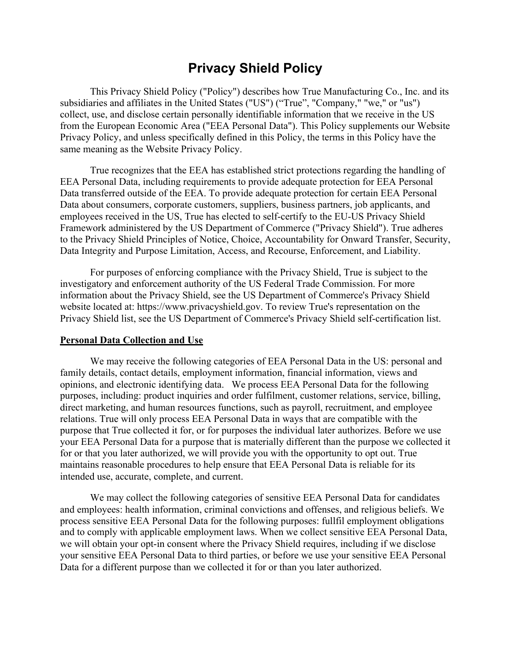# **Privacy Shield Policy**

This Privacy Shield Policy ("Policy") describes how True Manufacturing Co., Inc. and its subsidiaries and affiliates in the United States ("US") ("True", "Company," "we," or "us") collect, use, and disclose certain personally identifiable information that we receive in the US from the European Economic Area ("EEA Personal Data"). This Policy supplements our Website Privacy Policy, and unless specifically defined in this Policy, the terms in this Policy have the same meaning as the Website Privacy Policy.

True recognizes that the EEA has established strict protections regarding the handling of EEA Personal Data, including requirements to provide adequate protection for EEA Personal Data transferred outside of the EEA. To provide adequate protection for certain EEA Personal Data about consumers, corporate customers, suppliers, business partners, job applicants, and employees received in the US, True has elected to self-certify to the EU-US Privacy Shield Framework administered by the US Department of Commerce ("Privacy Shield"). True adheres to the Privacy Shield Principles of Notice, Choice, Accountability for Onward Transfer, Security, Data Integrity and Purpose Limitation, Access, and Recourse, Enforcement, and Liability.

For purposes of enforcing compliance with the Privacy Shield, True is subject to the investigatory and enforcement authority of the US Federal Trade Commission. For more information about the Privacy Shield, see the US Department of Commerce's Privacy Shield website located at: https://www.privacyshield.gov. To review True's representation on the Privacy Shield list, see the US Department of Commerce's Privacy Shield self-certification list.

### **Personal Data Collection and Use**

We may receive the following categories of EEA Personal Data in the US: personal and family details, contact details, employment information, financial information, views and opinions, and electronic identifying data. We process EEA Personal Data for the following purposes, including: product inquiries and order fulfilment, customer relations, service, billing, direct marketing, and human resources functions, such as payroll, recruitment, and employee relations. True will only process EEA Personal Data in ways that are compatible with the purpose that True collected it for, or for purposes the individual later authorizes. Before we use your EEA Personal Data for a purpose that is materially different than the purpose we collected it for or that you later authorized, we will provide you with the opportunity to opt out. True maintains reasonable procedures to help ensure that EEA Personal Data is reliable for its intended use, accurate, complete, and current.

We may collect the following categories of sensitive EEA Personal Data for candidates and employees: health information, criminal convictions and offenses, and religious beliefs. We process sensitive EEA Personal Data for the following purposes: fullfil employment obligations and to comply with applicable employment laws. When we collect sensitive EEA Personal Data, we will obtain your opt-in consent where the Privacy Shield requires, including if we disclose your sensitive EEA Personal Data to third parties, or before we use your sensitive EEA Personal Data for a different purpose than we collected it for or than you later authorized.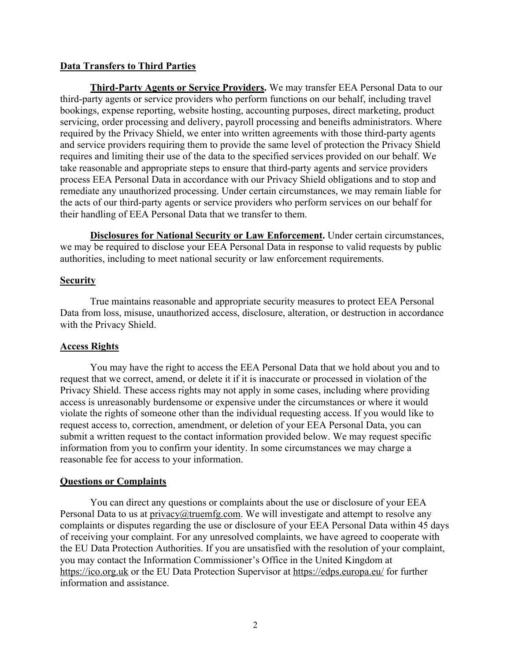### **Data Transfers to Third Parties**

**Third-Party Agents or Service Providers.** We may transfer EEA Personal Data to our third-party agents or service providers who perform functions on our behalf, including travel bookings, expense reporting, website hosting, accounting purposes, direct marketing, product servicing, order processing and delivery, payroll processing and beneifts administrators. Where required by the Privacy Shield, we enter into written agreements with those third-party agents and service providers requiring them to provide the same level of protection the Privacy Shield requires and limiting their use of the data to the specified services provided on our behalf. We take reasonable and appropriate steps to ensure that third-party agents and service providers process EEA Personal Data in accordance with our Privacy Shield obligations and to stop and remediate any unauthorized processing. Under certain circumstances, we may remain liable for the acts of our third-party agents or service providers who perform services on our behalf for their handling of EEA Personal Data that we transfer to them.

**Disclosures for National Security or Law Enforcement.** Under certain circumstances, we may be required to disclose your EEA Personal Data in response to valid requests by public authorities, including to meet national security or law enforcement requirements.

### **Security**

True maintains reasonable and appropriate security measures to protect EEA Personal Data from loss, misuse, unauthorized access, disclosure, alteration, or destruction in accordance with the Privacy Shield.

### **Access Rights**

You may have the right to access the EEA Personal Data that we hold about you and to request that we correct, amend, or delete it if it is inaccurate or processed in violation of the Privacy Shield. These access rights may not apply in some cases, including where providing access is unreasonably burdensome or expensive under the circumstances or where it would violate the rights of someone other than the individual requesting access. If you would like to request access to, correction, amendment, or deletion of your EEA Personal Data, you can submit a written request to the contact information provided below. We may request specific information from you to confirm your identity. In some circumstances we may charge a reasonable fee for access to your information.

### **Questions or Complaints**

You can direct any questions or complaints about the use or disclosure of your EEA Personal Data to us at privacy@truemfg.com. We will investigate and attempt to resolve any complaints or disputes regarding the use or disclosure of your EEA Personal Data within 45 days of receiving your complaint. For any unresolved complaints, we have agreed to cooperate with the EU Data Protection Authorities. If you are unsatisfied with the resolution of your complaint, you may contact the Information Commissioner's Office in the United Kingdom at https://ico.org.uk or the EU Data Protection Supervisor at https://edps.europa.eu/ for further information and assistance.